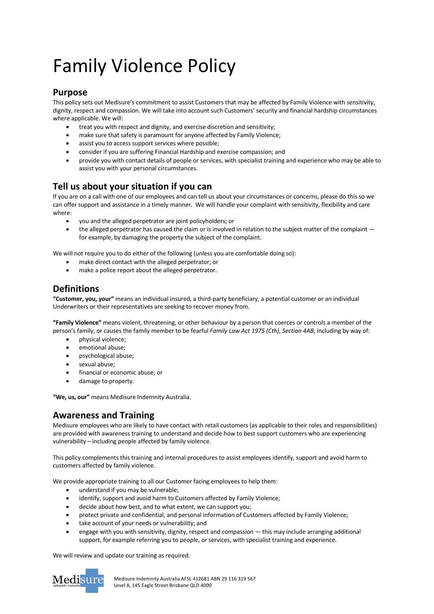# Family Violence Policy

### **Purpose**

This policy sets out Medisure's commitment to assist Customers that may be affected by Family Violence with sensitivity, dignity, respect and compassion. We will take into account such Customers' security and financial hardship circumstances where applicable. We will:

- treat you with respect and dignity, and exercise discretion and sensitivity;
- make sure that safety is paramount for anyone affected by Family Violence;
- assist you to access support services where possible;
- consider if you are suffering Financial Hardship and exercise compassion; and
- provide you with contact details of people or services, with specialist training and experience who may be able to assist you with your personal circumstances.

## **Tell us about your situation if you can**

If you are on a call with one of our employees and can tell us about your circumstances or concerns, please do this so we can offer support and assistance in a timely manner. We will handle your complaint with sensitivity, flexibility and care where:

- you and the alleged perpetrator are joint policyholders; or
- the alleged perpetrator has caused the claim or is involved in relation to the subject matter of the complaint  $$ for example, by damaging the property the subject of the complaint.

We will not require you to do either of the following (unless you are comfortable doing so):

- make direct contact with the alleged perpetrator; or
- make a police report about the alleged perpetrator.

## **Definitions**

**"Customer, you, your"** means an individual insured, a third-party beneficiary, a potential customer or an individual Underwriters or their representatives are seeking to recover money from.

**"Family Violence"** means violent, threatening, or other behaviour by a person that coerces or controls a member of the person's family, or causes the family member to be fearful *Family Law Act 1975 (Cth), Section 4AB*, including by way of:

- physical violence;
- emotional abuse;
- psychological abuse;
- sexual abuse;
- financial or economic abuse; or
- damage to property.

**"We, us, our"** means Medisure Indemnity Australia.

## **Awareness and Training**

Medisure employees who are likely to have contact with retail customers (as applicable to their roles and responsibilities) are provided with awareness training to understand and decide how to best support customers who are experiencing vulnerability – including people affected by family violence.

This policy complements this training and internal procedures to assist employees identify, support and avoid harm to customers affected by family violence.

We provide appropriate training to all our Customer facing employees to help them:

- understand if you may be vulnerable;
- identify, support and avoid harm to Customers affected by Family Violence;
- decide about how best, and to what extent, we can support you;
- protect private and confidential, and personal information of Customers affected by Family Violence;
- take account of your needs or vulnerability; and
- engage with you with sensitivity, dignity, respect and compassion this may include arranging additional support, for example referring you to people, or services, with specialist training and experience.

We will review and update our training as required.